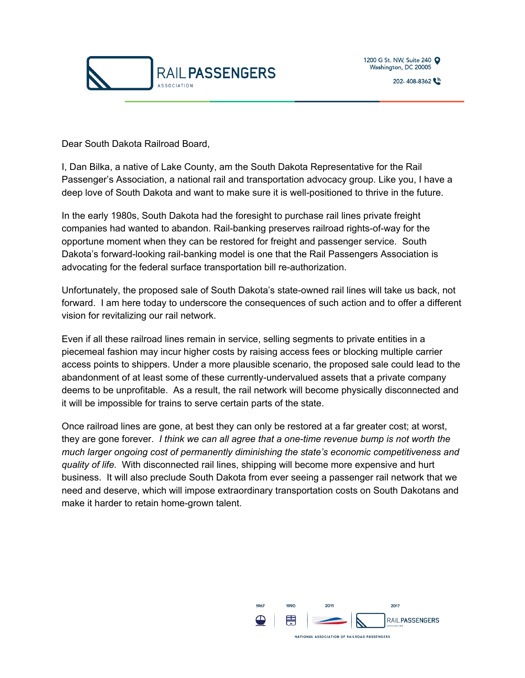

Dear South Dakota Railroad Board,

I, Dan Bilka, a native of Lake County, am the South Dakota Representative for the Rail Passenger's Association, a national rail and transportation advocacy group. Like you, I have a deep love of South Dakota and want to make sure it is well-positioned to thrive in the future.

In the early 1980s, South Dakota had the foresight to purchase rail lines private freight companies had wanted to abandon. Rail-banking preserves railroad rights-of-way for the opportune moment when they can be restored for freight and passenger service. South Dakota's forward-looking rail-banking model is one that the Rail Passengers Association is advocating for the federal surface transportation bill re-authorization.

Unfortunately, the proposed sale of South Dakota's state-owned rail lines will take us back, not forward. I am here today to underscore the consequences of such action and to offer a different vision for revitalizing our rail network.

Even if all these railroad lines remain in service, selling segments to private entities in a piecemeal fashion may incur higher costs by raising access fees or blocking multiple carrier access points to shippers. Under a more plausible scenario, the proposed sale could lead to the abandonment of at least some of these currently-undervalued assets that a private company deems to be unprofitable. As a result, the rail network will become physically disconnected and it will be impossible for trains to serve certain parts of the state.

Once railroad lines are gone, at best they can only be restored at a far greater cost; at worst, they are gone forever. *I think we can all agree that a one-time revenue bump is not worth the much larger ongoing cost of permanently diminishing the state's economic competitiveness and quality of life.* With disconnected rail lines, shipping will become more expensive and hurt business. It will also preclude South Dakota from ever seeing a passenger rail network that we need and deserve, which will impose extraordinary transportation costs on South Dakotans and make it harder to retain home-grown talent.

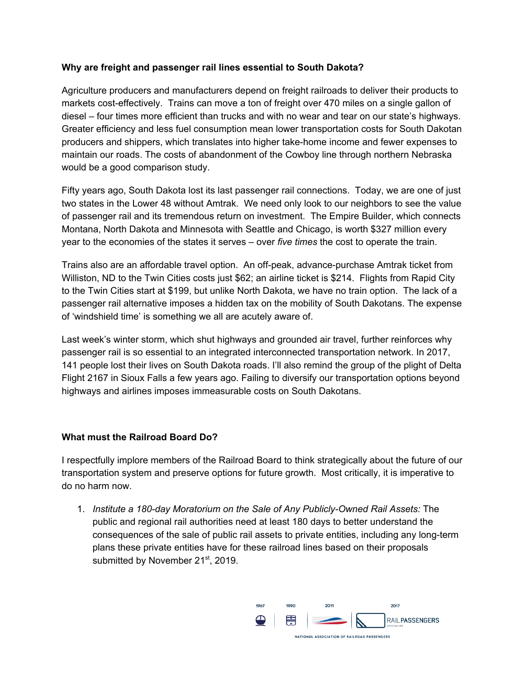## **Why are freight and passenger rail lines essential to South Dakota?**

Agriculture producers and manufacturers depend on freight railroads to deliver their products to markets cost-effectively. Trains can move a ton of freight over 470 miles on a single gallon of diesel – four times more efficient than trucks and with no wear and tear on our state's highways. Greater efficiency and less fuel consumption mean lower transportation costs for South Dakotan producers and shippers, which translates into higher take-home income and fewer expenses to maintain our roads. The costs of abandonment of the Cowboy line through northern Nebraska would be a good comparison study.

Fifty years ago, South Dakota lost its last passenger rail connections. Today, we are one of just two states in the Lower 48 without Amtrak. We need only look to our neighbors to see the value of passenger rail and its tremendous return on investment. The Empire Builder, which connects Montana, North Dakota and Minnesota with Seattle and Chicago, is worth \$327 million every year to the economies of the states it serves – over *five times* the cost to operate the train.

Trains also are an affordable travel option. An off-peak, advance-purchase Amtrak ticket from Williston, ND to the Twin Cities costs just \$62; an airline ticket is \$214. Flights from Rapid City to the Twin Cities start at \$199, but unlike North Dakota, we have no train option. The lack of a passenger rail alternative imposes a hidden tax on the mobility of South Dakotans. The expense of 'windshield time' is something we all are acutely aware of.

Last week's winter storm, which shut highways and grounded air travel, further reinforces why passenger rail is so essential to an integrated interconnected transportation network. In 2017, 141 people lost their lives on South Dakota roads. I'll also remind the group of the plight of Delta Flight 2167 in Sioux Falls a few years ago. Failing to diversify our transportation options beyond highways and airlines imposes immeasurable costs on South Dakotans.

## **What must the Railroad Board Do?**

I respectfully implore members of the Railroad Board to think strategically about the future of our transportation system and preserve options for future growth. Most critically, it is imperative to do no harm now.

1. *Institute a 180-day Moratorium on the Sale of Any Publicly-Owned Rail Assets:* The public and regional rail authorities need at least 180 days to better understand the consequences of the sale of public rail assets to private entities, including any long-term plans these private entities have for these railroad lines based on their proposals submitted by November 21<sup>st</sup>, 2019.

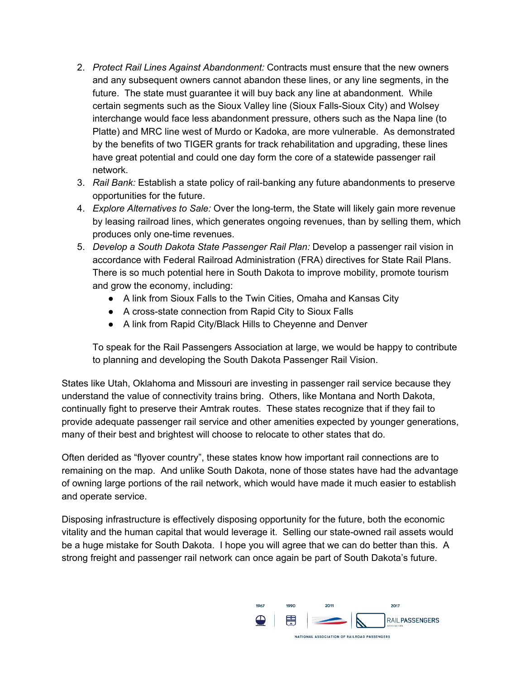- 2. *Protect Rail Lines Against Abandonment:* Contracts must ensure that the new owners and any subsequent owners cannot abandon these lines, or any line segments, in the future. The state must guarantee it will buy back any line at abandonment. While certain segments such as the Sioux Valley line (Sioux Falls-Sioux City) and Wolsey interchange would face less abandonment pressure, others such as the Napa line (to Platte) and MRC line west of Murdo or Kadoka, are more vulnerable. As demonstrated by the benefits of two TIGER grants for track rehabilitation and upgrading, these lines have great potential and could one day form the core of a statewide passenger rail network.
- 3. *Rail Bank:* Establish a state policy of rail-banking any future abandonments to preserve opportunities for the future.
- 4. *Explore Alternatives to Sale:* Over the long-term, the State will likely gain more revenue by leasing railroad lines, which generates ongoing revenues, than by selling them, which produces only one-time revenues.
- 5. *Develop a South Dakota State Passenger Rail Plan:* Develop a passenger rail vision in accordance with Federal Railroad Administration (FRA) directives for State Rail Plans. There is so much potential here in South Dakota to improve mobility, promote tourism and grow the economy, including:
	- A link from Sioux Falls to the Twin Cities, Omaha and Kansas City
	- A cross-state connection from Rapid City to Sioux Falls
	- A link from Rapid City/Black Hills to Cheyenne and Denver

To speak for the Rail Passengers Association at large, we would be happy to contribute to planning and developing the South Dakota Passenger Rail Vision.

States like Utah, Oklahoma and Missouri are investing in passenger rail service because they understand the value of connectivity trains bring. Others, like Montana and North Dakota, continually fight to preserve their Amtrak routes. These states recognize that if they fail to provide adequate passenger rail service and other amenities expected by younger generations, many of their best and brightest will choose to relocate to other states that do.

Often derided as "flyover country", these states know how important rail connections are to remaining on the map. And unlike South Dakota, none of those states have had the advantage of owning large portions of the rail network, which would have made it much easier to establish and operate service.

Disposing infrastructure is effectively disposing opportunity for the future, both the economic vitality and the human capital that would leverage it. Selling our state-owned rail assets would be a huge mistake for South Dakota. I hope you will agree that we can do better than this. A strong freight and passenger rail network can once again be part of South Dakota's future.